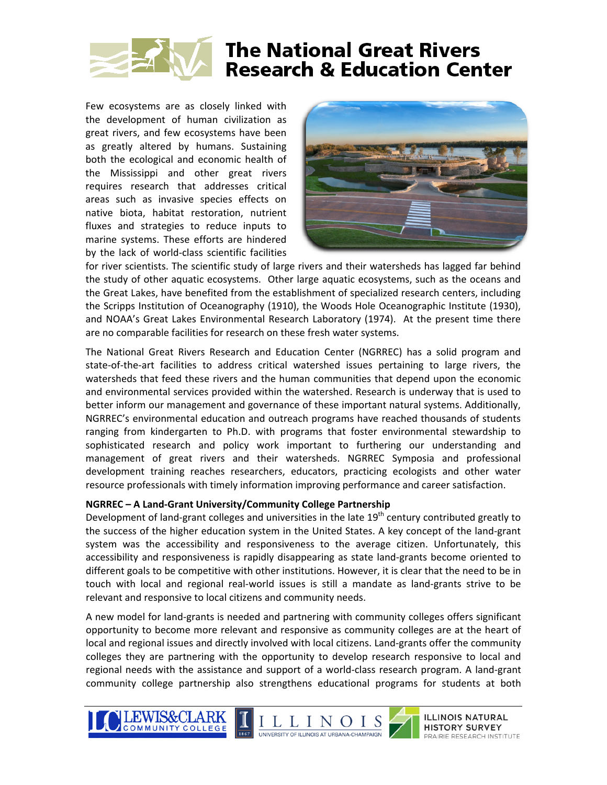

Few ecosystems are as closely linked with the development of human civilization as great rivers, and few ecosystems have been as greatly altered by humans. Sustaining both the ecological and economic health of the Mississippi and other great rivers requires research that addresses critical areas such as invasive species effects on native biota, habitat restoration, nutrient fluxes and strategies to reduce inputs to marine systems. These efforts are hindered by the lack of world‐class scientific facilities



for river scientists. The scientific study of large rivers and their watersheds has lagged far behind the study of other aquatic ecosystems. Other large aquatic ecosystems, such as the oceans and the Great Lakes, have benefited from the establishment of specialized research centers, including the Scripps Institution of Oceanography (1910), the Woods Hole Oceanographic Institute (1930), and NOAA's Great Lakes Environmental Research Laboratory (1974). At the present time there are no comparable facilities for research on these fresh water sys tems.

The National Great Rivers Research and Education Center (NGRREC) has a solid program and state-of-the-art facilities to address critical watershed issues pertaining to large rivers, the watersheds that feed these rivers and the human communities that depend upon the economic and environmental services provided within the watershed. Research is underway that is used to better inform our management and governance of these important natural systems. Additionally, NGRREC's environmental education and outreach programs have reached thousands of students ranging from kindergarten to Ph.D. with programs that foster environmental stewardship to sophisticated research and policy work important to furthering our understanding and management of great rivers and their watersheds. NGRREC Symposia and professional development training reaches researchers, educators, practicing ecologists and other water resource professionals with timely information improving performance and career satisfaction.

#### **NGRREC – A Land‐Grant University/Community College Partnership**

Development of land-grant colleges and universities in the late  $19<sup>th</sup>$  century contributed greatly to the success of the higher education system in the United States. A key concept of the land‐grant system was the accessibility and responsiveness to the average citizen. Unfortunately, this accessibility and responsiveness is rapidly disappearing as state land‐grants become oriented to different goals to be competitive with other institutions. However, it is clear that the need to be in touch with local and regional real‐world issues is still a mandate as land‐grants strive to be relevant and responsive to local citizens and community needs.

A new model for land‐grants is needed and partnering with community colleges offers significant opportunity to become more relevant and responsive as community colleges are at the heart of local and regional issues and directly involved with local citizens. Land-grants offer the community colleges they are partnering with the opportunity to develop research responsive to local and regional needs with the assistance and support of a world‐class research program. A land‐grant community college partnership also strengthens educational programs for students at both





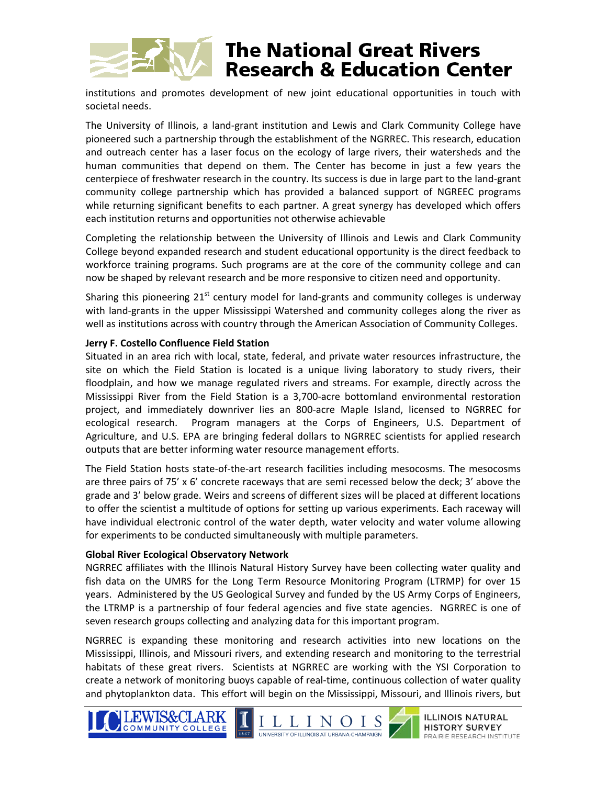## **The National Great Rivers Research & Education Center**

institutions and promotes development of new joint educational opportunities in touch with societal needs.

The University of Illinois, a land‐grant institution and Lewis and Clark Community College have pioneered such a partnership through the establishment of the NGRREC. This research, education and outreach center has a laser focus on the ecology of large rivers, their watersheds and the human communities that depend on them. The Center has become in just a few years the centerpiece of freshwater research in the country. Its success is due in large part to the land‐grant community college partnership which has provided a balanced support of NGREEC programs while returning significant benefits to each partner. A great synergy has developed which offers each institution returns and opportunities not otherwise achievable

Completing the relationship between the University of Illinois and Lewis and Clark Community College beyond expanded research and student educational opportunity is the direct feedback to workforce training programs. Such programs are at the core of the community college and can now be shaped by relevant research and be more responsive to citizen need and opportunity.

Sharing this pioneering  $21^{st}$  century model for land-grants and community colleges is underway with land-grants in the upper Mississippi Watershed and community colleges along the river as well as institutions across with country through the American Association of Community Colleges.

#### **Jerry F. Costello Confluence Field Station**

Situated in an area rich with local, state, federal, and private water resources infrastructure, the site on which the Field Station is located is a unique living laboratory to study rivers, their floodplain, and how we manage regulated rivers and streams. For example, directly across the Mississippi River from the Field Station is a 3,700‐acre bottomland environmental restoration project, and immediately downriver lies an 800‐acre Maple Island, licensed to NGRREC for ecological research. Program managers at the Corps of Engineers, U.S. Department of Agriculture, and U.S. EPA are bringing federal dollars to NGRREC scientists for applied research outputs that are better informing water resource management efforts.

The Field Station hosts state‐of‐the‐art research facilities including mesocosms. The mesocosms are three pairs of 75' x 6' concrete raceways that are semi recessed below the deck; 3' above the grade and 3' below grade. Weirs and screens of different sizes will be placed at different locations to offer the scientist a multitude of options for setting up various experiments. Each raceway will have individual electronic control of the water depth, water velocity and water volume allowing for experiments to be conducted simultaneously with multiple parameters.

#### **Global River Ecological Observatory Network**

NGRREC affiliates with the Illinois Natural History Survey have been collecting water quality and fish data on the UMRS for the Long Term Resource Monitoring Program (LTRMP) for over 15 years. Administered by the US Geological Survey and funded by the US Army Corps of Engineers, the LTRMP is a partnership of four federal agencies and five state agencies. NGRREC is one of seven research groups collecting and analyzing data for this important program.

NGRREC is expanding these monitoring and research activities into new locations on the Mississippi, Illinois, and Missouri rivers, and extending research and monitoring to the terrestrial habitats of these great rivers. Scientists at NGRREC are working with the YSI Corporation to create a network of monitoring buoys capable of real‐time, continuous collection of water quality and phytoplankton data. This effort will begin on the Mississippi, Missouri, and Illinois rivers, but